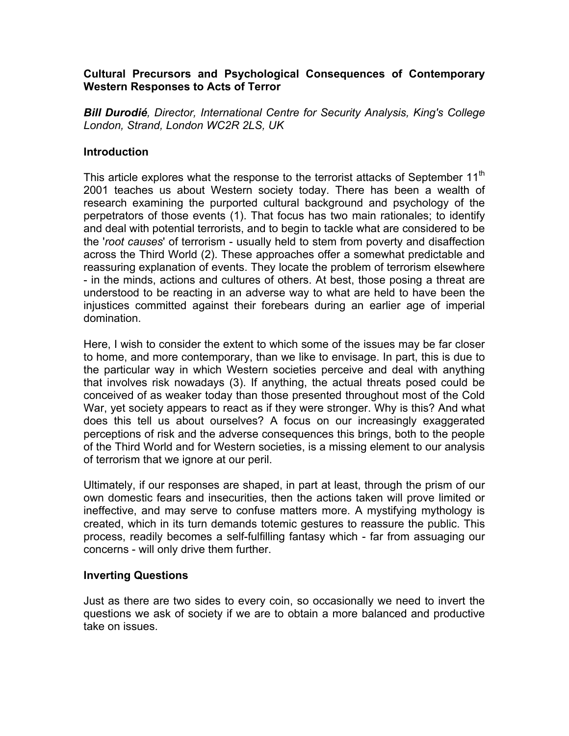#### **Cultural Precursors and Psychological Consequences of Contemporary Western Responses to Acts of Terror**

*Bill Durodié, Director, International Centre for Security Analysis, King's College London, Strand, London WC2R 2LS, UK*

### **Introduction**

This article explores what the response to the terrorist attacks of September  $11<sup>th</sup>$ 2001 teaches us about Western society today. There has been a wealth of research examining the purported cultural background and psychology of the perpetrators of those events (1). That focus has two main rationales; to identify and deal with potential terrorists, and to begin to tackle what are considered to be the '*root causes*' of terrorism - usually held to stem from poverty and disaffection across the Third World (2). These approaches offer a somewhat predictable and reassuring explanation of events. They locate the problem of terrorism elsewhere - in the minds, actions and cultures of others. At best, those posing a threat are understood to be reacting in an adverse way to what are held to have been the injustices committed against their forebears during an earlier age of imperial domination.

Here, I wish to consider the extent to which some of the issues may be far closer to home, and more contemporary, than we like to envisage. In part, this is due to the particular way in which Western societies perceive and deal with anything that involves risk nowadays (3). If anything, the actual threats posed could be conceived of as weaker today than those presented throughout most of the Cold War, yet society appears to react as if they were stronger. Why is this? And what does this tell us about ourselves? A focus on our increasingly exaggerated perceptions of risk and the adverse consequences this brings, both to the people of the Third World and for Western societies, is a missing element to our analysis of terrorism that we ignore at our peril.

Ultimately, if our responses are shaped, in part at least, through the prism of our own domestic fears and insecurities, then the actions taken will prove limited or ineffective, and may serve to confuse matters more. A mystifying mythology is created, which in its turn demands totemic gestures to reassure the public. This process, readily becomes a self-fulfilling fantasy which - far from assuaging our concerns - will only drive them further.

#### **Inverting Questions**

Just as there are two sides to every coin, so occasionally we need to invert the questions we ask of society if we are to obtain a more balanced and productive take on issues.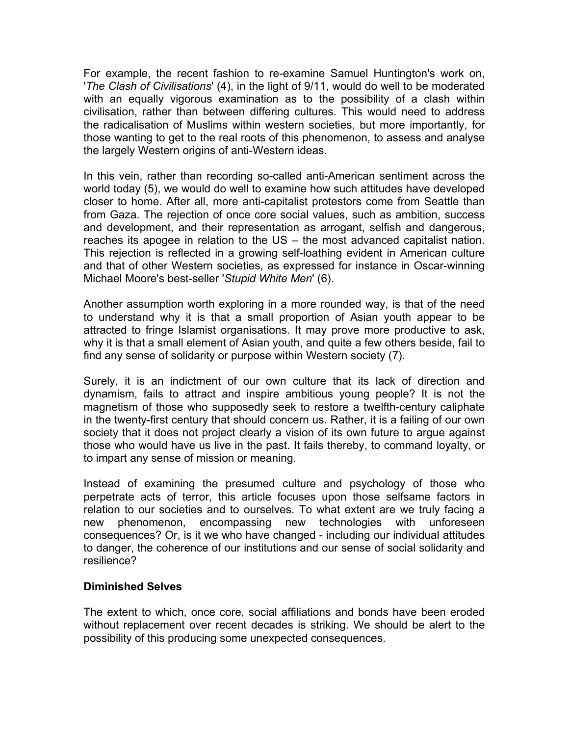For example, the recent fashion to re-examine Samuel Huntington's work on, '*The Clash of Civilisations*' (4), in the light of 9/11, would do well to be moderated with an equally vigorous examination as to the possibility of a clash within civilisation, rather than between differing cultures. This would need to address the radicalisation of Muslims within western societies, but more importantly, for those wanting to get to the real roots of this phenomenon, to assess and analyse the largely Western origins of anti-Western ideas.

In this vein, rather than recording so-called anti-American sentiment across the world today (5), we would do well to examine how such attitudes have developed closer to home. After all, more anti-capitalist protestors come from Seattle than from Gaza. The rejection of once core social values, such as ambition, success and development, and their representation as arrogant, selfish and dangerous, reaches its apogee in relation to the US – the most advanced capitalist nation. This rejection is reflected in a growing self-loathing evident in American culture and that of other Western societies, as expressed for instance in Oscar-winning Michael Moore's best-seller '*Stupid White Men*' (6).

Another assumption worth exploring in a more rounded way, is that of the need to understand why it is that a small proportion of Asian youth appear to be attracted to fringe Islamist organisations. It may prove more productive to ask, why it is that a small element of Asian youth, and quite a few others beside, fail to find any sense of solidarity or purpose within Western society (7).

Surely, it is an indictment of our own culture that its lack of direction and dynamism, fails to attract and inspire ambitious young people? It is not the magnetism of those who supposedly seek to restore a twelfth-century caliphate in the twenty-first century that should concern us. Rather, it is a failing of our own society that it does not project clearly a vision of its own future to argue against those who would have us live in the past. It fails thereby, to command loyalty, or to impart any sense of mission or meaning.

Instead of examining the presumed culture and psychology of those who perpetrate acts of terror, this article focuses upon those selfsame factors in relation to our societies and to ourselves. To what extent are we truly facing a new phenomenon, encompassing new technologies with unforeseen consequences? Or, is it we who have changed - including our individual attitudes to danger, the coherence of our institutions and our sense of social solidarity and resilience?

#### **Diminished Selves**

The extent to which, once core, social affiliations and bonds have been eroded without replacement over recent decades is striking. We should be alert to the possibility of this producing some unexpected consequences.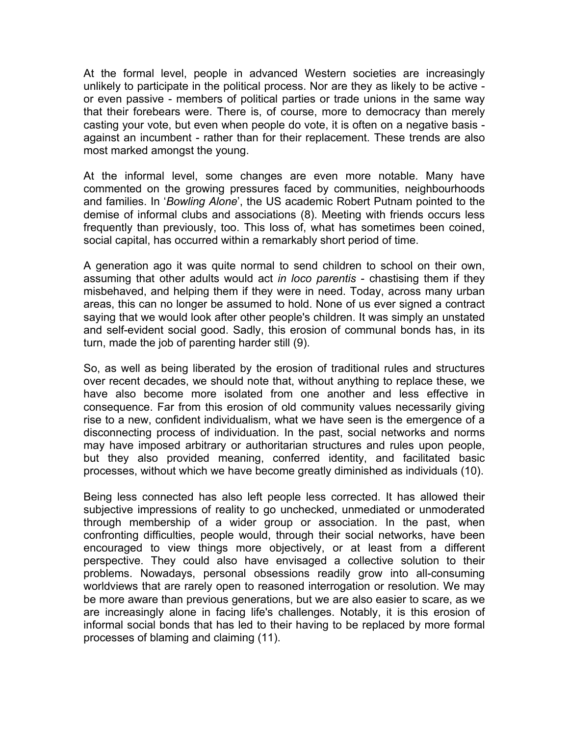At the formal level, people in advanced Western societies are increasingly unlikely to participate in the political process. Nor are they as likely to be active or even passive - members of political parties or trade unions in the same way that their forebears were. There is, of course, more to democracy than merely casting your vote, but even when people do vote, it is often on a negative basis against an incumbent - rather than for their replacement. These trends are also most marked amongst the young.

At the informal level, some changes are even more notable. Many have commented on the growing pressures faced by communities, neighbourhoods and families. In '*Bowling Alone*', the US academic Robert Putnam pointed to the demise of informal clubs and associations (8). Meeting with friends occurs less frequently than previously, too. This loss of, what has sometimes been coined, social capital, has occurred within a remarkably short period of time.

A generation ago it was quite normal to send children to school on their own, assuming that other adults would act *in loco parentis* - chastising them if they misbehaved, and helping them if they were in need. Today, across many urban areas, this can no longer be assumed to hold. None of us ever signed a contract saying that we would look after other people's children. It was simply an unstated and self-evident social good. Sadly, this erosion of communal bonds has, in its turn, made the job of parenting harder still (9).

So, as well as being liberated by the erosion of traditional rules and structures over recent decades, we should note that, without anything to replace these, we have also become more isolated from one another and less effective in consequence. Far from this erosion of old community values necessarily giving rise to a new, confident individualism, what we have seen is the emergence of a disconnecting process of individuation. In the past, social networks and norms may have imposed arbitrary or authoritarian structures and rules upon people, but they also provided meaning, conferred identity, and facilitated basic processes, without which we have become greatly diminished as individuals (10).

Being less connected has also left people less corrected. It has allowed their subjective impressions of reality to go unchecked, unmediated or unmoderated through membership of a wider group or association. In the past, when confronting difficulties, people would, through their social networks, have been encouraged to view things more objectively, or at least from a different perspective. They could also have envisaged a collective solution to their problems. Nowadays, personal obsessions readily grow into all-consuming worldviews that are rarely open to reasoned interrogation or resolution. We may be more aware than previous generations, but we are also easier to scare, as we are increasingly alone in facing life's challenges. Notably, it is this erosion of informal social bonds that has led to their having to be replaced by more formal processes of blaming and claiming (11).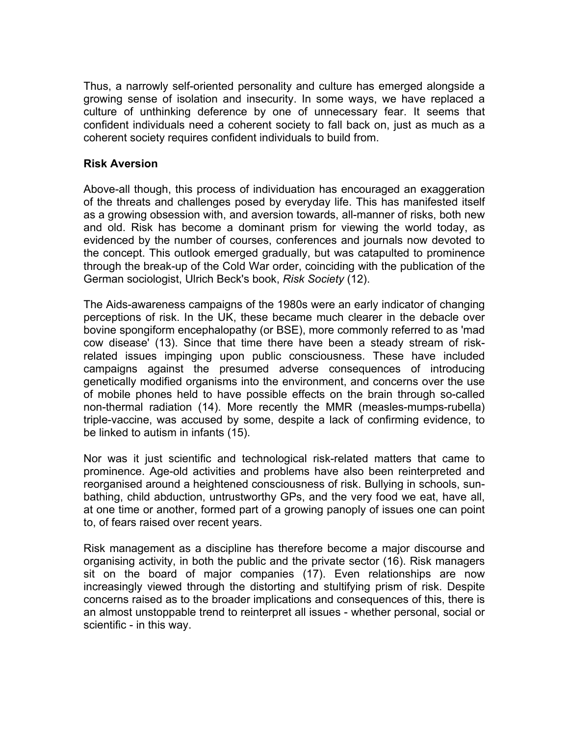Thus, a narrowly self-oriented personality and culture has emerged alongside a growing sense of isolation and insecurity. In some ways, we have replaced a culture of unthinking deference by one of unnecessary fear. It seems that confident individuals need a coherent society to fall back on, just as much as a coherent society requires confident individuals to build from.

#### **Risk Aversion**

Above-all though, this process of individuation has encouraged an exaggeration of the threats and challenges posed by everyday life. This has manifested itself as a growing obsession with, and aversion towards, all-manner of risks, both new and old. Risk has become a dominant prism for viewing the world today, as evidenced by the number of courses, conferences and journals now devoted to the concept. This outlook emerged gradually, but was catapulted to prominence through the break-up of the Cold War order, coinciding with the publication of the German sociologist, Ulrich Beck's book, *Risk Society* (12).

The Aids-awareness campaigns of the 1980s were an early indicator of changing perceptions of risk. In the UK, these became much clearer in the debacle over bovine spongiform encephalopathy (or BSE), more commonly referred to as 'mad cow disease' (13). Since that time there have been a steady stream of riskrelated issues impinging upon public consciousness. These have included campaigns against the presumed adverse consequences of introducing genetically modified organisms into the environment, and concerns over the use of mobile phones held to have possible effects on the brain through so-called non-thermal radiation (14). More recently the MMR (measles-mumps-rubella) triple-vaccine, was accused by some, despite a lack of confirming evidence, to be linked to autism in infants (15).

Nor was it just scientific and technological risk-related matters that came to prominence. Age-old activities and problems have also been reinterpreted and reorganised around a heightened consciousness of risk. Bullying in schools, sunbathing, child abduction, untrustworthy GPs, and the very food we eat, have all, at one time or another, formed part of a growing panoply of issues one can point to, of fears raised over recent years.

Risk management as a discipline has therefore become a major discourse and organising activity, in both the public and the private sector (16). Risk managers sit on the board of major companies (17). Even relationships are now increasingly viewed through the distorting and stultifying prism of risk. Despite concerns raised as to the broader implications and consequences of this, there is an almost unstoppable trend to reinterpret all issues - whether personal, social or scientific - in this way.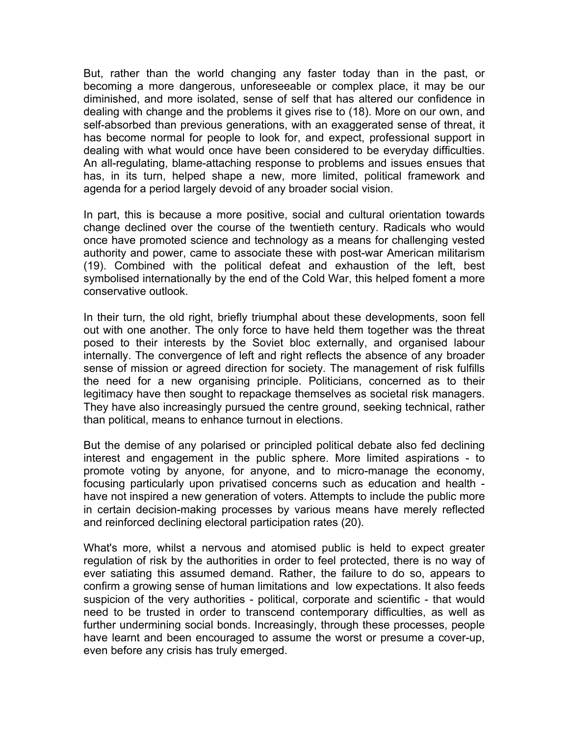But, rather than the world changing any faster today than in the past, or becoming a more dangerous, unforeseeable or complex place, it may be our diminished, and more isolated, sense of self that has altered our confidence in dealing with change and the problems it gives rise to (18). More on our own, and self-absorbed than previous generations, with an exaggerated sense of threat, it has become normal for people to look for, and expect, professional support in dealing with what would once have been considered to be everyday difficulties. An all-regulating, blame-attaching response to problems and issues ensues that has, in its turn, helped shape a new, more limited, political framework and agenda for a period largely devoid of any broader social vision.

In part, this is because a more positive, social and cultural orientation towards change declined over the course of the twentieth century. Radicals who would once have promoted science and technology as a means for challenging vested authority and power, came to associate these with post-war American militarism (19). Combined with the political defeat and exhaustion of the left, best symbolised internationally by the end of the Cold War, this helped foment a more conservative outlook.

In their turn, the old right, briefly triumphal about these developments, soon fell out with one another. The only force to have held them together was the threat posed to their interests by the Soviet bloc externally, and organised labour internally. The convergence of left and right reflects the absence of any broader sense of mission or agreed direction for society. The management of risk fulfills the need for a new organising principle. Politicians, concerned as to their legitimacy have then sought to repackage themselves as societal risk managers. They have also increasingly pursued the centre ground, seeking technical, rather than political, means to enhance turnout in elections.

But the demise of any polarised or principled political debate also fed declining interest and engagement in the public sphere. More limited aspirations - to promote voting by anyone, for anyone, and to micro-manage the economy, focusing particularly upon privatised concerns such as education and health have not inspired a new generation of voters. Attempts to include the public more in certain decision-making processes by various means have merely reflected and reinforced declining electoral participation rates (20).

What's more, whilst a nervous and atomised public is held to expect greater regulation of risk by the authorities in order to feel protected, there is no way of ever satiating this assumed demand. Rather, the failure to do so, appears to confirm a growing sense of human limitations and low expectations. It also feeds suspicion of the very authorities - political, corporate and scientific - that would need to be trusted in order to transcend contemporary difficulties, as well as further undermining social bonds. Increasingly, through these processes, people have learnt and been encouraged to assume the worst or presume a cover-up, even before any crisis has truly emerged.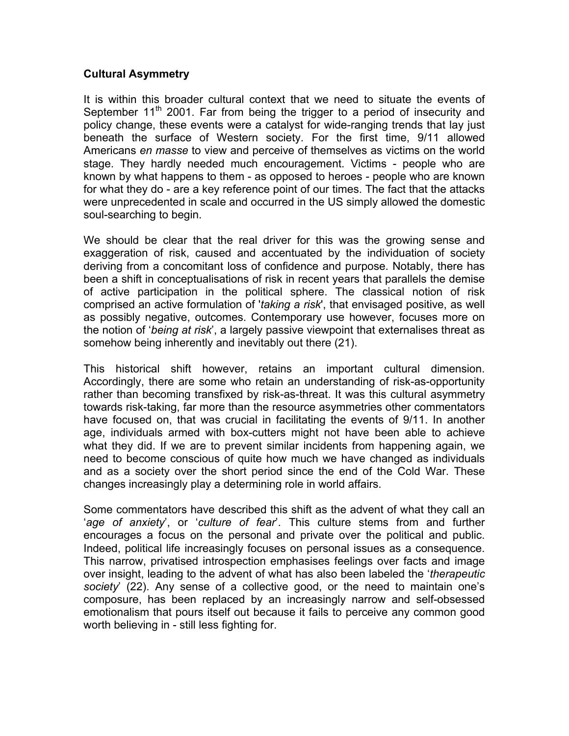#### **Cultural Asymmetry**

It is within this broader cultural context that we need to situate the events of September  $11<sup>th</sup>$  2001. Far from being the trigger to a period of insecurity and policy change, these events were a catalyst for wide-ranging trends that lay just beneath the surface of Western society. For the first time, 9/11 allowed Americans *en masse* to view and perceive of themselves as victims on the world stage. They hardly needed much encouragement. Victims - people who are known by what happens to them - as opposed to heroes - people who are known for what they do - are a key reference point of our times. The fact that the attacks were unprecedented in scale and occurred in the US simply allowed the domestic soul-searching to begin.

We should be clear that the real driver for this was the growing sense and exaggeration of risk, caused and accentuated by the individuation of society deriving from a concomitant loss of confidence and purpose. Notably, there has been a shift in conceptualisations of risk in recent years that parallels the demise of active participation in the political sphere. The classical notion of risk comprised an active formulation of '*taking a risk*', that envisaged positive, as well as possibly negative, outcomes. Contemporary use however, focuses more on the notion of '*being at risk*', a largely passive viewpoint that externalises threat as somehow being inherently and inevitably out there (21).

This historical shift however, retains an important cultural dimension. Accordingly, there are some who retain an understanding of risk-as-opportunity rather than becoming transfixed by risk-as-threat. It was this cultural asymmetry towards risk-taking, far more than the resource asymmetries other commentators have focused on, that was crucial in facilitating the events of 9/11. In another age, individuals armed with box-cutters might not have been able to achieve what they did. If we are to prevent similar incidents from happening again, we need to become conscious of quite how much we have changed as individuals and as a society over the short period since the end of the Cold War. These changes increasingly play a determining role in world affairs.

Some commentators have described this shift as the advent of what they call an '*age of anxiety*', or '*culture of fear*'. This culture stems from and further encourages a focus on the personal and private over the political and public. Indeed, political life increasingly focuses on personal issues as a consequence. This narrow, privatised introspection emphasises feelings over facts and image over insight, leading to the advent of what has also been labeled the '*therapeutic society*' (22). Any sense of a collective good, or the need to maintain one's composure, has been replaced by an increasingly narrow and self-obsessed emotionalism that pours itself out because it fails to perceive any common good worth believing in - still less fighting for.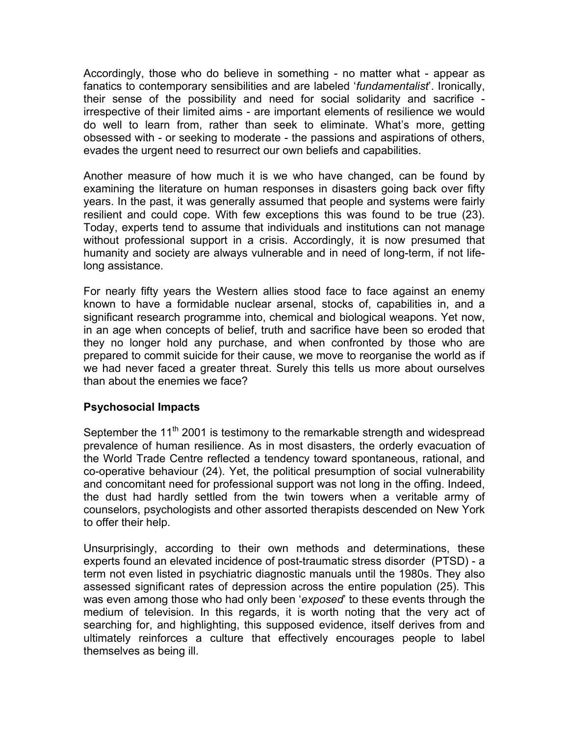Accordingly, those who do believe in something - no matter what - appear as fanatics to contemporary sensibilities and are labeled '*fundamentalist*'. Ironically, their sense of the possibility and need for social solidarity and sacrifice irrespective of their limited aims - are important elements of resilience we would do well to learn from, rather than seek to eliminate. What's more, getting obsessed with - or seeking to moderate - the passions and aspirations of others, evades the urgent need to resurrect our own beliefs and capabilities.

Another measure of how much it is we who have changed, can be found by examining the literature on human responses in disasters going back over fifty years. In the past, it was generally assumed that people and systems were fairly resilient and could cope. With few exceptions this was found to be true (23). Today, experts tend to assume that individuals and institutions can not manage without professional support in a crisis. Accordingly, it is now presumed that humanity and society are always vulnerable and in need of long-term, if not lifelong assistance.

For nearly fifty years the Western allies stood face to face against an enemy known to have a formidable nuclear arsenal, stocks of, capabilities in, and a significant research programme into, chemical and biological weapons. Yet now, in an age when concepts of belief, truth and sacrifice have been so eroded that they no longer hold any purchase, and when confronted by those who are prepared to commit suicide for their cause, we move to reorganise the world as if we had never faced a greater threat. Surely this tells us more about ourselves than about the enemies we face?

#### **Psychosocial Impacts**

September the  $11<sup>th</sup>$  2001 is testimony to the remarkable strength and widespread prevalence of human resilience. As in most disasters, the orderly evacuation of the World Trade Centre reflected a tendency toward spontaneous, rational, and co-operative behaviour (24). Yet, the political presumption of social vulnerability and concomitant need for professional support was not long in the offing. Indeed, the dust had hardly settled from the twin towers when a veritable army of counselors, psychologists and other assorted therapists descended on New York to offer their help.

Unsurprisingly, according to their own methods and determinations, these experts found an elevated incidence of post-traumatic stress disorder (PTSD) - a term not even listed in psychiatric diagnostic manuals until the 1980s. They also assessed significant rates of depression across the entire population (25). This was even among those who had only been '*exposed*' to these events through the medium of television. In this regards, it is worth noting that the very act of searching for, and highlighting, this supposed evidence, itself derives from and ultimately reinforces a culture that effectively encourages people to label themselves as being ill.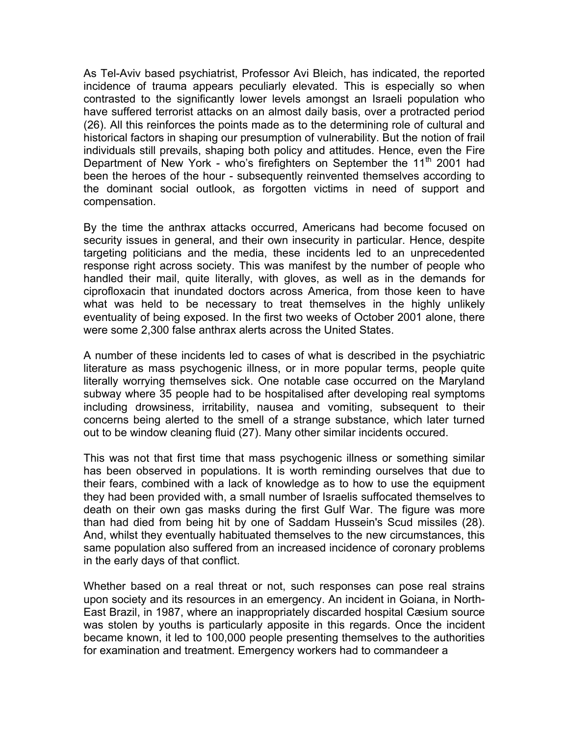As Tel-Aviv based psychiatrist, Professor Avi Bleich, has indicated, the reported incidence of trauma appears peculiarly elevated. This is especially so when contrasted to the significantly lower levels amongst an Israeli population who have suffered terrorist attacks on an almost daily basis, over a protracted period (26). All this reinforces the points made as to the determining role of cultural and historical factors in shaping our presumption of vulnerability. But the notion of frail individuals still prevails, shaping both policy and attitudes. Hence, even the Fire Department of New York - who's firefighters on September the  $11<sup>th</sup>$  2001 had been the heroes of the hour - subsequently reinvented themselves according to the dominant social outlook, as forgotten victims in need of support and compensation.

By the time the anthrax attacks occurred, Americans had become focused on security issues in general, and their own insecurity in particular. Hence, despite targeting politicians and the media, these incidents led to an unprecedented response right across society. This was manifest by the number of people who handled their mail, quite literally, with gloves, as well as in the demands for ciprofloxacin that inundated doctors across America, from those keen to have what was held to be necessary to treat themselves in the highly unlikely eventuality of being exposed. In the first two weeks of October 2001 alone, there were some 2,300 false anthrax alerts across the United States.

A number of these incidents led to cases of what is described in the psychiatric literature as mass psychogenic illness, or in more popular terms, people quite literally worrying themselves sick. One notable case occurred on the Maryland subway where 35 people had to be hospitalised after developing real symptoms including drowsiness, irritability, nausea and vomiting, subsequent to their concerns being alerted to the smell of a strange substance, which later turned out to be window cleaning fluid (27). Many other similar incidents occured.

This was not that first time that mass psychogenic illness or something similar has been observed in populations. It is worth reminding ourselves that due to their fears, combined with a lack of knowledge as to how to use the equipment they had been provided with, a small number of Israelis suffocated themselves to death on their own gas masks during the first Gulf War. The figure was more than had died from being hit by one of Saddam Hussein's Scud missiles (28). And, whilst they eventually habituated themselves to the new circumstances, this same population also suffered from an increased incidence of coronary problems in the early days of that conflict.

Whether based on a real threat or not, such responses can pose real strains upon society and its resources in an emergency. An incident in Goiana, in North-East Brazil, in 1987, where an inappropriately discarded hospital Cæsium source was stolen by youths is particularly apposite in this regards. Once the incident became known, it led to 100,000 people presenting themselves to the authorities for examination and treatment. Emergency workers had to commandeer a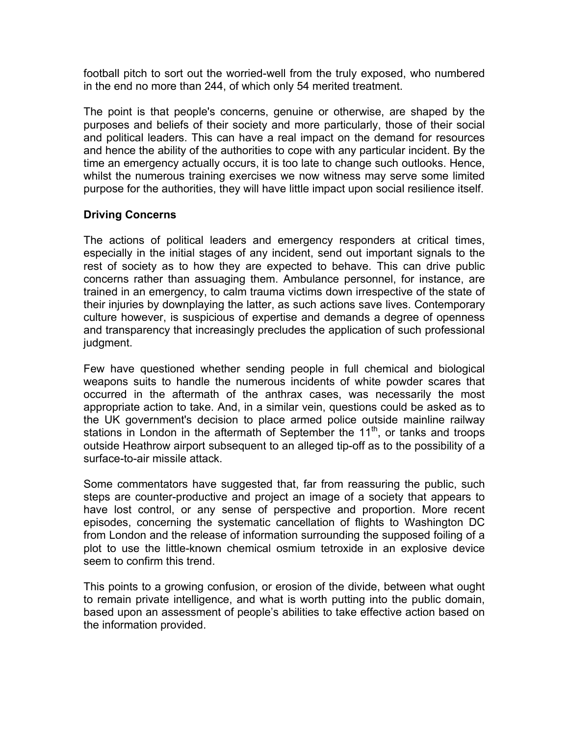football pitch to sort out the worried-well from the truly exposed, who numbered in the end no more than 244, of which only 54 merited treatment.

The point is that people's concerns, genuine or otherwise, are shaped by the purposes and beliefs of their society and more particularly, those of their social and political leaders. This can have a real impact on the demand for resources and hence the ability of the authorities to cope with any particular incident. By the time an emergency actually occurs, it is too late to change such outlooks. Hence, whilst the numerous training exercises we now witness may serve some limited purpose for the authorities, they will have little impact upon social resilience itself.

## **Driving Concerns**

The actions of political leaders and emergency responders at critical times, especially in the initial stages of any incident, send out important signals to the rest of society as to how they are expected to behave. This can drive public concerns rather than assuaging them. Ambulance personnel, for instance, are trained in an emergency, to calm trauma victims down irrespective of the state of their injuries by downplaying the latter, as such actions save lives. Contemporary culture however, is suspicious of expertise and demands a degree of openness and transparency that increasingly precludes the application of such professional judgment.

Few have questioned whether sending people in full chemical and biological weapons suits to handle the numerous incidents of white powder scares that occurred in the aftermath of the anthrax cases, was necessarily the most appropriate action to take. And, in a similar vein, questions could be asked as to the UK government's decision to place armed police outside mainline railway stations in London in the aftermath of September the  $11<sup>th</sup>$ , or tanks and troops outside Heathrow airport subsequent to an alleged tip-off as to the possibility of a surface-to-air missile attack.

Some commentators have suggested that, far from reassuring the public, such steps are counter-productive and project an image of a society that appears to have lost control, or any sense of perspective and proportion. More recent episodes, concerning the systematic cancellation of flights to Washington DC from London and the release of information surrounding the supposed foiling of a plot to use the little-known chemical osmium tetroxide in an explosive device seem to confirm this trend.

This points to a growing confusion, or erosion of the divide, between what ought to remain private intelligence, and what is worth putting into the public domain, based upon an assessment of people's abilities to take effective action based on the information provided.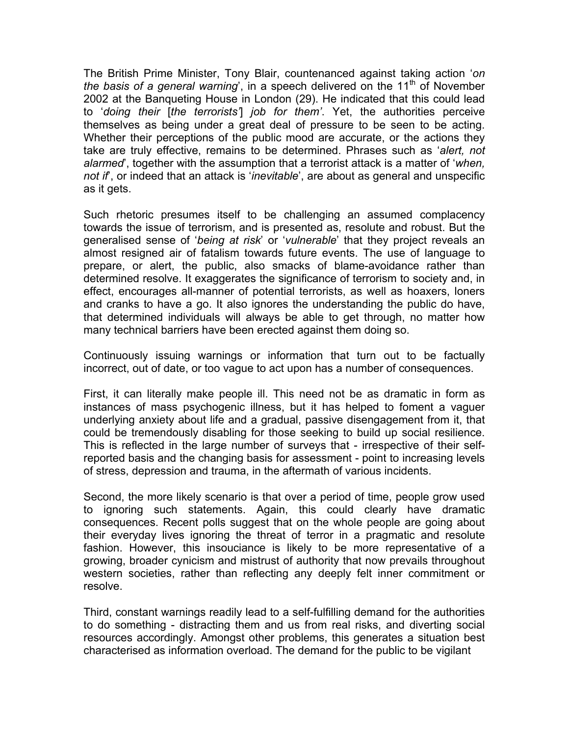The British Prime Minister, Tony Blair, countenanced against taking action '*on the basis of a general warning*', in a speech delivered on the 11<sup>th</sup> of November 2002 at the Banqueting House in London (29). He indicated that this could lead to '*doing their* [*the terrorists'*] *job for them'*. Yet, the authorities perceive themselves as being under a great deal of pressure to be seen to be acting. Whether their perceptions of the public mood are accurate, or the actions they take are truly effective, remains to be determined. Phrases such as '*alert, not alarmed*', together with the assumption that a terrorist attack is a matter of '*when, not if*', or indeed that an attack is '*inevitable*', are about as general and unspecific as it gets.

Such rhetoric presumes itself to be challenging an assumed complacency towards the issue of terrorism, and is presented as, resolute and robust. But the generalised sense of '*being at risk*' or '*vulnerable*' that they project reveals an almost resigned air of fatalism towards future events. The use of language to prepare, or alert, the public, also smacks of blame-avoidance rather than determined resolve. It exaggerates the significance of terrorism to society and, in effect, encourages all-manner of potential terrorists, as well as hoaxers, loners and cranks to have a go. It also ignores the understanding the public do have, that determined individuals will always be able to get through, no matter how many technical barriers have been erected against them doing so.

Continuously issuing warnings or information that turn out to be factually incorrect, out of date, or too vague to act upon has a number of consequences.

First, it can literally make people ill. This need not be as dramatic in form as instances of mass psychogenic illness, but it has helped to foment a vaguer underlying anxiety about life and a gradual, passive disengagement from it, that could be tremendously disabling for those seeking to build up social resilience. This is reflected in the large number of surveys that - irrespective of their selfreported basis and the changing basis for assessment - point to increasing levels of stress, depression and trauma, in the aftermath of various incidents.

Second, the more likely scenario is that over a period of time, people grow used to ignoring such statements. Again, this could clearly have dramatic consequences. Recent polls suggest that on the whole people are going about their everyday lives ignoring the threat of terror in a pragmatic and resolute fashion. However, this insouciance is likely to be more representative of a growing, broader cynicism and mistrust of authority that now prevails throughout western societies, rather than reflecting any deeply felt inner commitment or resolve.

Third, constant warnings readily lead to a self-fulfilling demand for the authorities to do something - distracting them and us from real risks, and diverting social resources accordingly. Amongst other problems, this generates a situation best characterised as information overload. The demand for the public to be vigilant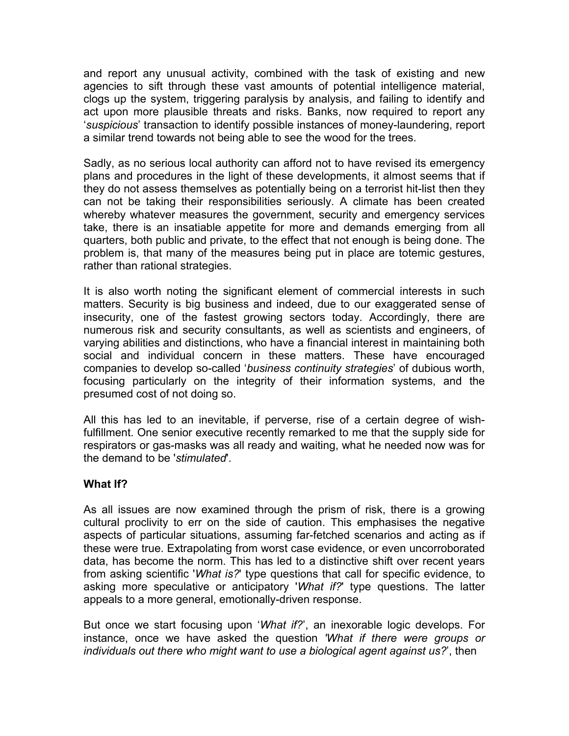and report any unusual activity, combined with the task of existing and new agencies to sift through these vast amounts of potential intelligence material, clogs up the system, triggering paralysis by analysis, and failing to identify and act upon more plausible threats and risks. Banks, now required to report any '*suspicious*' transaction to identify possible instances of money-laundering, report a similar trend towards not being able to see the wood for the trees.

Sadly, as no serious local authority can afford not to have revised its emergency plans and procedures in the light of these developments, it almost seems that if they do not assess themselves as potentially being on a terrorist hit-list then they can not be taking their responsibilities seriously. A climate has been created whereby whatever measures the government, security and emergency services take, there is an insatiable appetite for more and demands emerging from all quarters, both public and private, to the effect that not enough is being done. The problem is, that many of the measures being put in place are totemic gestures, rather than rational strategies.

It is also worth noting the significant element of commercial interests in such matters. Security is big business and indeed, due to our exaggerated sense of insecurity, one of the fastest growing sectors today. Accordingly, there are numerous risk and security consultants, as well as scientists and engineers, of varying abilities and distinctions, who have a financial interest in maintaining both social and individual concern in these matters. These have encouraged companies to develop so-called '*business continuity strategies*' of dubious worth, focusing particularly on the integrity of their information systems, and the presumed cost of not doing so.

All this has led to an inevitable, if perverse, rise of a certain degree of wishfulfillment. One senior executive recently remarked to me that the supply side for respirators or gas-masks was all ready and waiting, what he needed now was for the demand to be '*stimulated*'.

#### **What If?**

As all issues are now examined through the prism of risk, there is a growing cultural proclivity to err on the side of caution. This emphasises the negative aspects of particular situations, assuming far-fetched scenarios and acting as if these were true. Extrapolating from worst case evidence, or even uncorroborated data, has become the norm. This has led to a distinctive shift over recent years from asking scientific '*What is?*' type questions that call for specific evidence, to asking more speculative or anticipatory '*What if?*' type questions. The latter appeals to a more general, emotionally-driven response.

But once we start focusing upon '*What if?*', an inexorable logic develops. For instance, once we have asked the question *'What if there were groups or individuals out there who might want to use a biological agent against us?*', then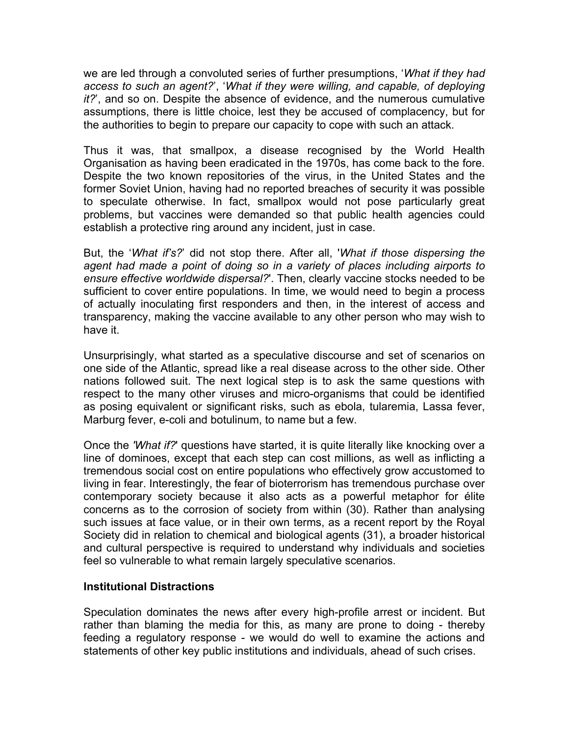we are led through a convoluted series of further presumptions, '*What if they had access to such an agent?*', '*What if they were willing, and capable, of deploying it?*', and so on. Despite the absence of evidence, and the numerous cumulative assumptions, there is little choice, lest they be accused of complacency, but for the authorities to begin to prepare our capacity to cope with such an attack.

Thus it was, that smallpox, a disease recognised by the World Health Organisation as having been eradicated in the 1970s, has come back to the fore. Despite the two known repositories of the virus, in the United States and the former Soviet Union, having had no reported breaches of security it was possible to speculate otherwise. In fact, smallpox would not pose particularly great problems, but vaccines were demanded so that public health agencies could establish a protective ring around any incident, just in case.

But, the '*What if's?*' did not stop there. After all, '*What if those dispersing the agent had made a point of doing so in a variety of places including airports to ensure effective worldwide dispersal?*'. Then, clearly vaccine stocks needed to be sufficient to cover entire populations. In time, we would need to begin a process of actually inoculating first responders and then, in the interest of access and transparency, making the vaccine available to any other person who may wish to have it.

Unsurprisingly, what started as a speculative discourse and set of scenarios on one side of the Atlantic, spread like a real disease across to the other side. Other nations followed suit. The next logical step is to ask the same questions with respect to the many other viruses and micro-organisms that could be identified as posing equivalent or significant risks, such as ebola, tularemia, Lassa fever, Marburg fever, e-coli and botulinum, to name but a few.

Once the *'What if?*' questions have started, it is quite literally like knocking over a line of dominoes, except that each step can cost millions, as well as inflicting a tremendous social cost on entire populations who effectively grow accustomed to living in fear. Interestingly, the fear of bioterrorism has tremendous purchase over contemporary society because it also acts as a powerful metaphor for élite concerns as to the corrosion of society from within (30). Rather than analysing such issues at face value, or in their own terms, as a recent report by the Royal Society did in relation to chemical and biological agents (31), a broader historical and cultural perspective is required to understand why individuals and societies feel so vulnerable to what remain largely speculative scenarios.

#### **Institutional Distractions**

Speculation dominates the news after every high-profile arrest or incident. But rather than blaming the media for this, as many are prone to doing - thereby feeding a regulatory response - we would do well to examine the actions and statements of other key public institutions and individuals, ahead of such crises.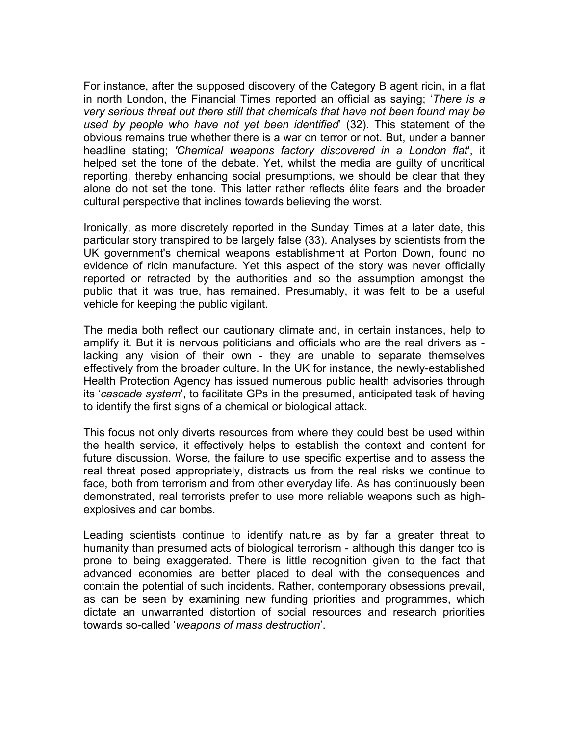For instance, after the supposed discovery of the Category B agent ricin, in a flat in north London, the Financial Times reported an official as saying; '*There is a very serious threat out there still that chemicals that have not been found may be used by people who have not yet been identified*' (32). This statement of the obvious remains true whether there is a war on terror or not. But, under a banner headline stating; *'Chemical weapons factory discovered in a London flat*', it helped set the tone of the debate. Yet, whilst the media are guilty of uncritical reporting, thereby enhancing social presumptions, we should be clear that they alone do not set the tone. This latter rather reflects élite fears and the broader cultural perspective that inclines towards believing the worst.

Ironically, as more discretely reported in the Sunday Times at a later date, this particular story transpired to be largely false (33). Analyses by scientists from the UK government's chemical weapons establishment at Porton Down, found no evidence of ricin manufacture. Yet this aspect of the story was never officially reported or retracted by the authorities and so the assumption amongst the public that it was true, has remained. Presumably, it was felt to be a useful vehicle for keeping the public vigilant.

The media both reflect our cautionary climate and, in certain instances, help to amplify it. But it is nervous politicians and officials who are the real drivers as lacking any vision of their own - they are unable to separate themselves effectively from the broader culture. In the UK for instance, the newly-established Health Protection Agency has issued numerous public health advisories through its '*cascade system*', to facilitate GPs in the presumed, anticipated task of having to identify the first signs of a chemical or biological attack.

This focus not only diverts resources from where they could best be used within the health service, it effectively helps to establish the context and content for future discussion. Worse, the failure to use specific expertise and to assess the real threat posed appropriately, distracts us from the real risks we continue to face, both from terrorism and from other everyday life. As has continuously been demonstrated, real terrorists prefer to use more reliable weapons such as highexplosives and car bombs.

Leading scientists continue to identify nature as by far a greater threat to humanity than presumed acts of biological terrorism - although this danger too is prone to being exaggerated. There is little recognition given to the fact that advanced economies are better placed to deal with the consequences and contain the potential of such incidents. Rather, contemporary obsessions prevail, as can be seen by examining new funding priorities and programmes, which dictate an unwarranted distortion of social resources and research priorities towards so-called '*weapons of mass destruction*'.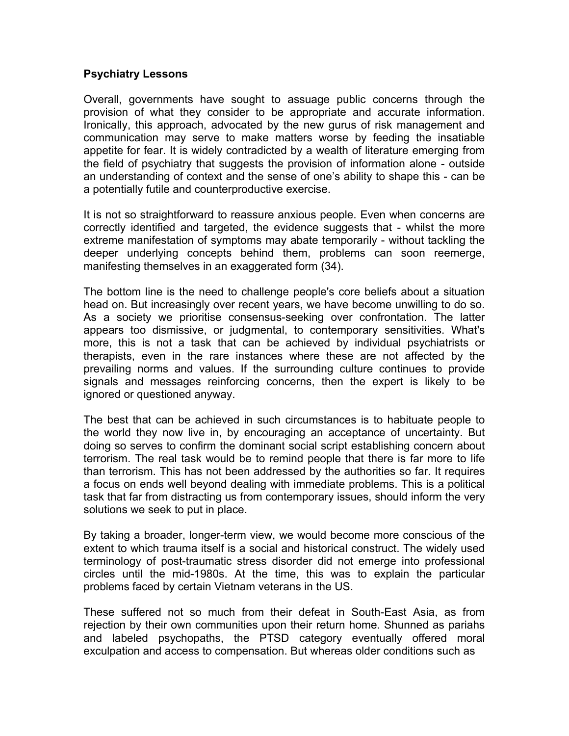#### **Psychiatry Lessons**

Overall, governments have sought to assuage public concerns through the provision of what they consider to be appropriate and accurate information. Ironically, this approach, advocated by the new gurus of risk management and communication may serve to make matters worse by feeding the insatiable appetite for fear. It is widely contradicted by a wealth of literature emerging from the field of psychiatry that suggests the provision of information alone - outside an understanding of context and the sense of one's ability to shape this - can be a potentially futile and counterproductive exercise.

It is not so straightforward to reassure anxious people. Even when concerns are correctly identified and targeted, the evidence suggests that - whilst the more extreme manifestation of symptoms may abate temporarily - without tackling the deeper underlying concepts behind them, problems can soon reemerge, manifesting themselves in an exaggerated form (34).

The bottom line is the need to challenge people's core beliefs about a situation head on. But increasingly over recent years, we have become unwilling to do so. As a society we prioritise consensus-seeking over confrontation. The latter appears too dismissive, or judgmental, to contemporary sensitivities. What's more, this is not a task that can be achieved by individual psychiatrists or therapists, even in the rare instances where these are not affected by the prevailing norms and values. If the surrounding culture continues to provide signals and messages reinforcing concerns, then the expert is likely to be ignored or questioned anyway.

The best that can be achieved in such circumstances is to habituate people to the world they now live in, by encouraging an acceptance of uncertainty. But doing so serves to confirm the dominant social script establishing concern about terrorism. The real task would be to remind people that there is far more to life than terrorism. This has not been addressed by the authorities so far. It requires a focus on ends well beyond dealing with immediate problems. This is a political task that far from distracting us from contemporary issues, should inform the very solutions we seek to put in place.

By taking a broader, longer-term view, we would become more conscious of the extent to which trauma itself is a social and historical construct. The widely used terminology of post-traumatic stress disorder did not emerge into professional circles until the mid-1980s. At the time, this was to explain the particular problems faced by certain Vietnam veterans in the US.

These suffered not so much from their defeat in South-East Asia, as from rejection by their own communities upon their return home. Shunned as pariahs and labeled psychopaths, the PTSD category eventually offered moral exculpation and access to compensation. But whereas older conditions such as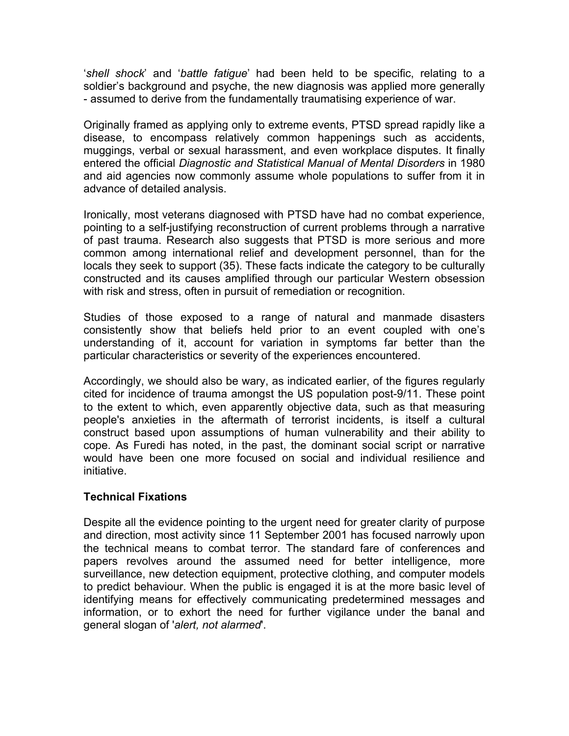'*shell shock*' and '*battle fatigue*' had been held to be specific, relating to a soldier's background and psyche, the new diagnosis was applied more generally - assumed to derive from the fundamentally traumatising experience of war.

Originally framed as applying only to extreme events, PTSD spread rapidly like a disease, to encompass relatively common happenings such as accidents, muggings, verbal or sexual harassment, and even workplace disputes. It finally entered the official *Diagnostic and Statistical Manual of Mental Disorders* in 1980 and aid agencies now commonly assume whole populations to suffer from it in advance of detailed analysis.

Ironically, most veterans diagnosed with PTSD have had no combat experience, pointing to a self-justifying reconstruction of current problems through a narrative of past trauma. Research also suggests that PTSD is more serious and more common among international relief and development personnel, than for the locals they seek to support (35). These facts indicate the category to be culturally constructed and its causes amplified through our particular Western obsession with risk and stress, often in pursuit of remediation or recognition.

Studies of those exposed to a range of natural and manmade disasters consistently show that beliefs held prior to an event coupled with one's understanding of it, account for variation in symptoms far better than the particular characteristics or severity of the experiences encountered.

Accordingly, we should also be wary, as indicated earlier, of the figures regularly cited for incidence of trauma amongst the US population post-9/11. These point to the extent to which, even apparently objective data, such as that measuring people's anxieties in the aftermath of terrorist incidents, is itself a cultural construct based upon assumptions of human vulnerability and their ability to cope. As Furedi has noted, in the past, the dominant social script or narrative would have been one more focused on social and individual resilience and initiative.

# **Technical Fixations**

Despite all the evidence pointing to the urgent need for greater clarity of purpose and direction, most activity since 11 September 2001 has focused narrowly upon the technical means to combat terror. The standard fare of conferences and papers revolves around the assumed need for better intelligence, more surveillance, new detection equipment, protective clothing, and computer models to predict behaviour. When the public is engaged it is at the more basic level of identifying means for effectively communicating predetermined messages and information, or to exhort the need for further vigilance under the banal and general slogan of '*alert, not alarmed*'.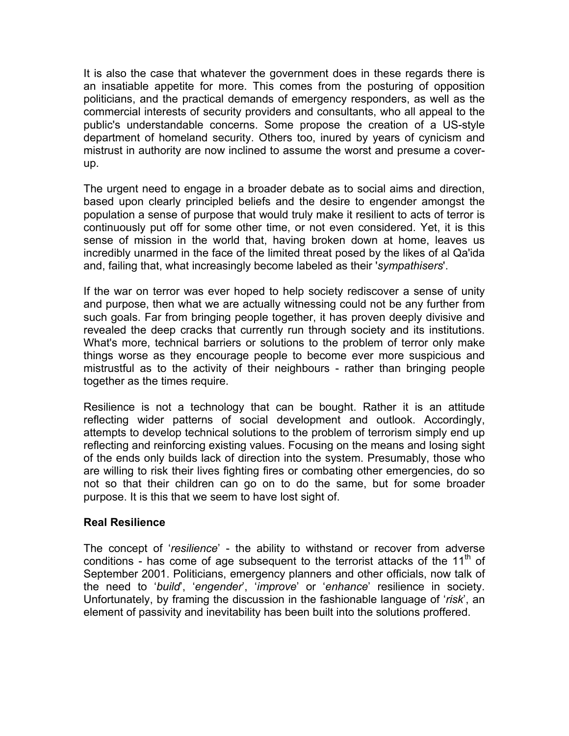It is also the case that whatever the government does in these regards there is an insatiable appetite for more. This comes from the posturing of opposition politicians, and the practical demands of emergency responders, as well as the commercial interests of security providers and consultants, who all appeal to the public's understandable concerns. Some propose the creation of a US-style department of homeland security. Others too, inured by years of cynicism and mistrust in authority are now inclined to assume the worst and presume a coverup.

The urgent need to engage in a broader debate as to social aims and direction, based upon clearly principled beliefs and the desire to engender amongst the population a sense of purpose that would truly make it resilient to acts of terror is continuously put off for some other time, or not even considered. Yet, it is this sense of mission in the world that, having broken down at home, leaves us incredibly unarmed in the face of the limited threat posed by the likes of al Qa'ida and, failing that, what increasingly become labeled as their '*sympathisers*'.

If the war on terror was ever hoped to help society rediscover a sense of unity and purpose, then what we are actually witnessing could not be any further from such goals. Far from bringing people together, it has proven deeply divisive and revealed the deep cracks that currently run through society and its institutions. What's more, technical barriers or solutions to the problem of terror only make things worse as they encourage people to become ever more suspicious and mistrustful as to the activity of their neighbours - rather than bringing people together as the times require.

Resilience is not a technology that can be bought. Rather it is an attitude reflecting wider patterns of social development and outlook. Accordingly, attempts to develop technical solutions to the problem of terrorism simply end up reflecting and reinforcing existing values. Focusing on the means and losing sight of the ends only builds lack of direction into the system. Presumably, those who are willing to risk their lives fighting fires or combating other emergencies, do so not so that their children can go on to do the same, but for some broader purpose. It is this that we seem to have lost sight of.

#### **Real Resilience**

The concept of '*resilience*' - the ability to withstand or recover from adverse conditions - has come of age subsequent to the terrorist attacks of the  $11<sup>th</sup>$  of September 2001. Politicians, emergency planners and other officials, now talk of the need to '*build*', '*engender*', '*improve*' or '*enhance*' resilience in society. Unfortunately, by framing the discussion in the fashionable language of '*risk*', an element of passivity and inevitability has been built into the solutions proffered.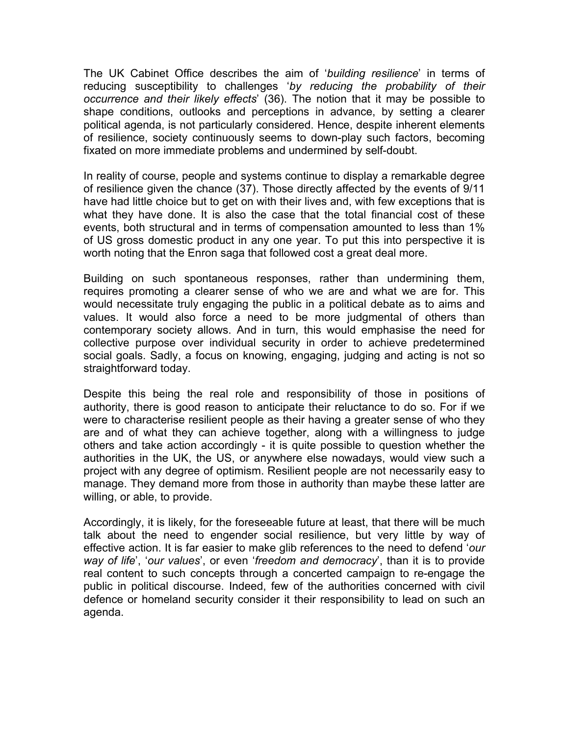The UK Cabinet Office describes the aim of '*building resilience*' in terms of reducing susceptibility to challenges '*by reducing the probability of their occurrence and their likely effects*' (36). The notion that it may be possible to shape conditions, outlooks and perceptions in advance, by setting a clearer political agenda, is not particularly considered. Hence, despite inherent elements of resilience, society continuously seems to down-play such factors, becoming fixated on more immediate problems and undermined by self-doubt.

In reality of course, people and systems continue to display a remarkable degree of resilience given the chance (37). Those directly affected by the events of 9/11 have had little choice but to get on with their lives and, with few exceptions that is what they have done. It is also the case that the total financial cost of these events, both structural and in terms of compensation amounted to less than 1% of US gross domestic product in any one year. To put this into perspective it is worth noting that the Enron saga that followed cost a great deal more.

Building on such spontaneous responses, rather than undermining them, requires promoting a clearer sense of who we are and what we are for. This would necessitate truly engaging the public in a political debate as to aims and values. It would also force a need to be more judgmental of others than contemporary society allows. And in turn, this would emphasise the need for collective purpose over individual security in order to achieve predetermined social goals. Sadly, a focus on knowing, engaging, judging and acting is not so straightforward today.

Despite this being the real role and responsibility of those in positions of authority, there is good reason to anticipate their reluctance to do so. For if we were to characterise resilient people as their having a greater sense of who they are and of what they can achieve together, along with a willingness to judge others and take action accordingly - it is quite possible to question whether the authorities in the UK, the US, or anywhere else nowadays, would view such a project with any degree of optimism. Resilient people are not necessarily easy to manage. They demand more from those in authority than maybe these latter are willing, or able, to provide.

Accordingly, it is likely, for the foreseeable future at least, that there will be much talk about the need to engender social resilience, but very little by way of effective action. It is far easier to make glib references to the need to defend '*our way of life*', '*our values*', or even '*freedom and democracy*', than it is to provide real content to such concepts through a concerted campaign to re-engage the public in political discourse. Indeed, few of the authorities concerned with civil defence or homeland security consider it their responsibility to lead on such an agenda.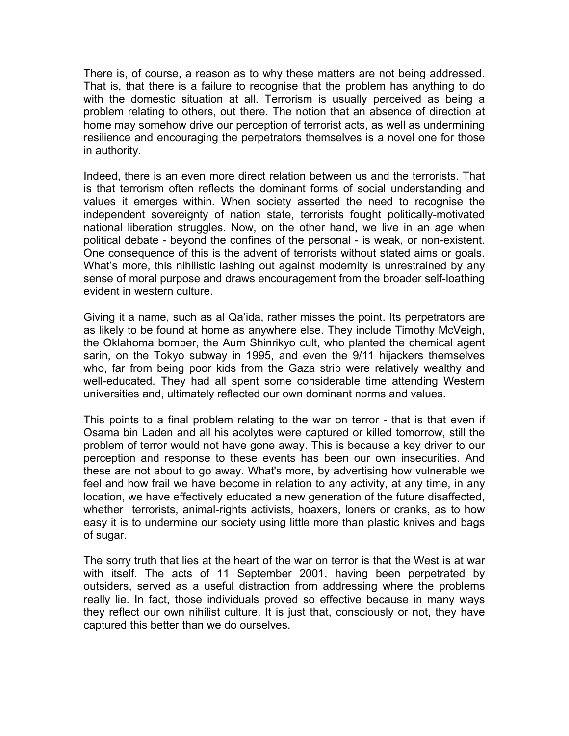There is, of course, a reason as to why these matters are not being addressed. That is, that there is a failure to recognise that the problem has anything to do with the domestic situation at all. Terrorism is usually perceived as being a problem relating to others, out there. The notion that an absence of direction at home may somehow drive our perception of terrorist acts, as well as undermining resilience and encouraging the perpetrators themselves is a novel one for those in authority.

Indeed, there is an even more direct relation between us and the terrorists. That is that terrorism often reflects the dominant forms of social understanding and values it emerges within. When society asserted the need to recognise the independent sovereignty of nation state, terrorists fought politically-motivated national liberation struggles. Now, on the other hand, we live in an age when political debate - beyond the confines of the personal - is weak, or non-existent. One consequence of this is the advent of terrorists without stated aims or goals. What's more, this nihilistic lashing out against modernity is unrestrained by any sense of moral purpose and draws encouragement from the broader self-loathing evident in western culture.

Giving it a name, such as al Qa'ida, rather misses the point. Its perpetrators are as likely to be found at home as anywhere else. They include Timothy McVeigh, the Oklahoma bomber, the Aum Shinrikyo cult, who planted the chemical agent sarin, on the Tokyo subway in 1995, and even the 9/11 hijackers themselves who, far from being poor kids from the Gaza strip were relatively wealthy and well-educated. They had all spent some considerable time attending Western universities and, ultimately reflected our own dominant norms and values.

This points to a final problem relating to the war on terror - that is that even if Osama bin Laden and all his acolytes were captured or killed tomorrow, still the problem of terror would not have gone away. This is because a key driver to our perception and response to these events has been our own insecurities. And these are not about to go away. What's more, by advertising how vulnerable we feel and how frail we have become in relation to any activity, at any time, in any location, we have effectively educated a new generation of the future disaffected, whether terrorists, animal-rights activists, hoaxers, loners or cranks, as to how easy it is to undermine our society using little more than plastic knives and bags of sugar.

The sorry truth that lies at the heart of the war on terror is that the West is at war with itself. The acts of 11 September 2001, having been perpetrated by outsiders, served as a useful distraction from addressing where the problems really lie. In fact, those individuals proved so effective because in many ways they reflect our own nihilist culture. It is just that, consciously or not, they have captured this better than we do ourselves.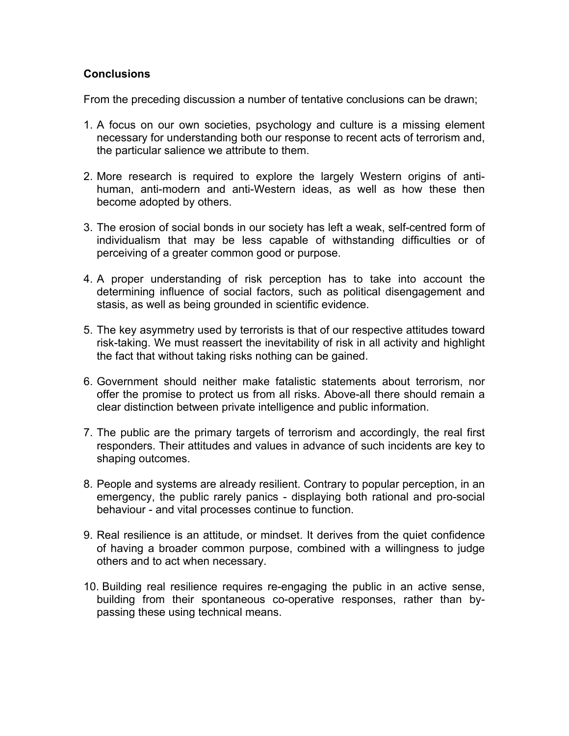### **Conclusions**

From the preceding discussion a number of tentative conclusions can be drawn;

- 1. A focus on our own societies, psychology and culture is a missing element necessary for understanding both our response to recent acts of terrorism and, the particular salience we attribute to them.
- 2. More research is required to explore the largely Western origins of antihuman, anti-modern and anti-Western ideas, as well as how these then become adopted by others.
- 3. The erosion of social bonds in our society has left a weak, self-centred form of individualism that may be less capable of withstanding difficulties or of perceiving of a greater common good or purpose.
- 4. A proper understanding of risk perception has to take into account the determining influence of social factors, such as political disengagement and stasis, as well as being grounded in scientific evidence.
- 5. The key asymmetry used by terrorists is that of our respective attitudes toward risk-taking. We must reassert the inevitability of risk in all activity and highlight the fact that without taking risks nothing can be gained.
- 6. Government should neither make fatalistic statements about terrorism, nor offer the promise to protect us from all risks. Above-all there should remain a clear distinction between private intelligence and public information.
- 7. The public are the primary targets of terrorism and accordingly, the real first responders. Their attitudes and values in advance of such incidents are key to shaping outcomes.
- 8. People and systems are already resilient. Contrary to popular perception, in an emergency, the public rarely panics - displaying both rational and pro-social behaviour - and vital processes continue to function.
- 9. Real resilience is an attitude, or mindset. It derives from the quiet confidence of having a broader common purpose, combined with a willingness to judge others and to act when necessary.
- 10. Building real resilience requires re-engaging the public in an active sense, building from their spontaneous co-operative responses, rather than bypassing these using technical means.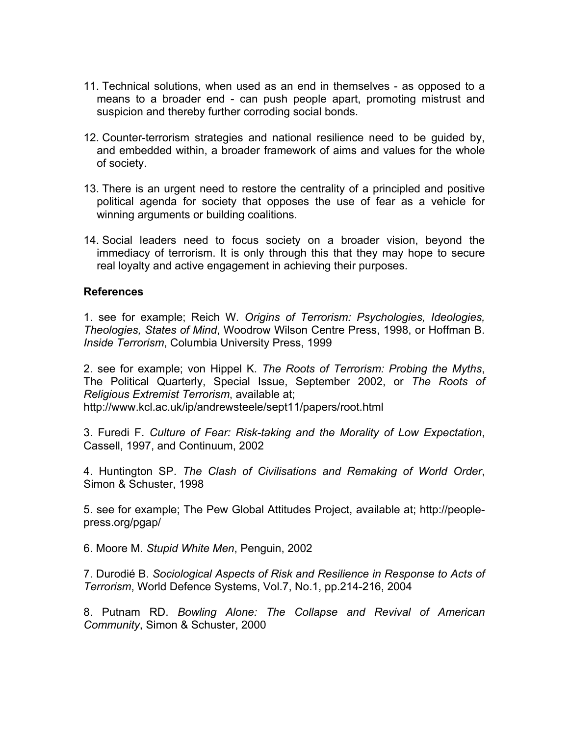- 11. Technical solutions, when used as an end in themselves as opposed to a means to a broader end - can push people apart, promoting mistrust and suspicion and thereby further corroding social bonds.
- 12. Counter-terrorism strategies and national resilience need to be guided by, and embedded within, a broader framework of aims and values for the whole of society.
- 13. There is an urgent need to restore the centrality of a principled and positive political agenda for society that opposes the use of fear as a vehicle for winning arguments or building coalitions.
- 14. Social leaders need to focus society on a broader vision, beyond the immediacy of terrorism. It is only through this that they may hope to secure real loyalty and active engagement in achieving their purposes.

#### **References**

1. see for example; Reich W. *Origins of Terrorism: Psychologies, Ideologies, Theologies, States of Mind*, Woodrow Wilson Centre Press, 1998, or Hoffman B. *Inside Terrorism*, Columbia University Press, 1999

2. see for example; von Hippel K. *The Roots of Terrorism: Probing the Myths*, The Political Quarterly, Special Issue, September 2002, or *The Roots of Religious Extremist Terrorism*, available at; http://www.kcl.ac.uk/ip/andrewsteele/sept11/papers/root.html

3. Furedi F. *Culture of Fear: Risk-taking and the Morality of Low Expectation*, Cassell, 1997, and Continuum, 2002

4. Huntington SP. *The Clash of Civilisations and Remaking of World Order*, Simon & Schuster, 1998

5. see for example; The Pew Global Attitudes Project, available at; http://peoplepress.org/pgap/

6. Moore M. *Stupid White Men*, Penguin, 2002

7. Durodié B. *Sociological Aspects of Risk and Resilience in Response to Acts of Terrorism*, World Defence Systems, Vol.7, No.1, pp.214-216, 2004

8. Putnam RD. *Bowling Alone: The Collapse and Revival of American Community*, Simon & Schuster, 2000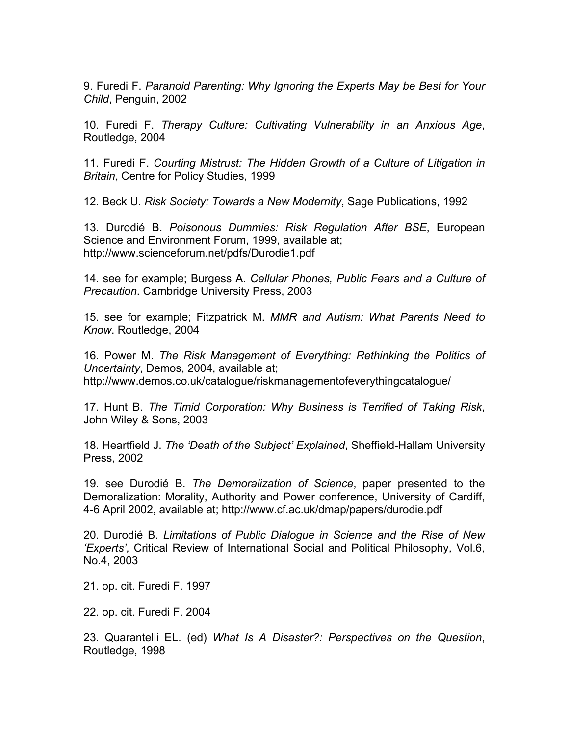9. Furedi F. *Paranoid Parenting: Why Ignoring the Experts May be Best for Your Child*, Penguin, 2002

10. Furedi F. *Therapy Culture: Cultivating Vulnerability in an Anxious Age*, Routledge, 2004

11. Furedi F. *Courting Mistrust: The Hidden Growth of a Culture of Litigation in Britain*, Centre for Policy Studies, 1999

12. Beck U. *Risk Society: Towards a New Modernity*, Sage Publications, 1992

13. Durodié B. *Poisonous Dummies: Risk Regulation After BSE*, European Science and Environment Forum, 1999, available at; http://www.scienceforum.net/pdfs/Durodie1.pdf

14. see for example; Burgess A. *Cellular Phones, Public Fears and a Culture of Precaution*. Cambridge University Press, 2003

15. see for example; Fitzpatrick M. *MMR and Autism: What Parents Need to Know*. Routledge, 2004

16. Power M. *The Risk Management of Everything: Rethinking the Politics of Uncertainty*, Demos, 2004, available at; http://www.demos.co.uk/catalogue/riskmanagementofeverythingcatalogue/

17. Hunt B. *The Timid Corporation: Why Business is Terrified of Taking Risk*, John Wiley & Sons, 2003

18. Heartfield J. *The 'Death of the Subject' Explained*, Sheffield-Hallam University Press, 2002

19. see Durodié B. *The Demoralization of Science*, paper presented to the Demoralization: Morality, Authority and Power conference, University of Cardiff, 4-6 April 2002, available at; http://www.cf.ac.uk/dmap/papers/durodie.pdf

20. Durodié B. *Limitations of Public Dialogue in Science and the Rise of New 'Experts'*, Critical Review of International Social and Political Philosophy, Vol.6, No.4, 2003

21. op. cit. Furedi F. 1997

22. op. cit. Furedi F. 2004

23. Quarantelli EL. (ed) *What Is A Disaster?: Perspectives on the Question*, Routledge, 1998